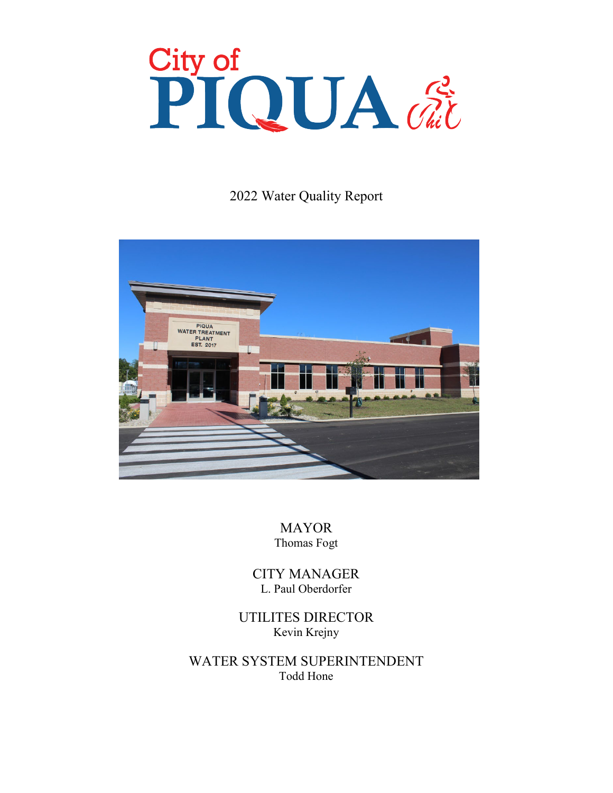# City of<br>PIQUA dit

2022 Water Quality Report



MAYOR Thomas Fogt

CITY MANAGER L. Paul Oberdorfer

UTILITES DIRECTOR Kevin Krejny

WATER SYSTEM SUPERINTENDENT Todd Hone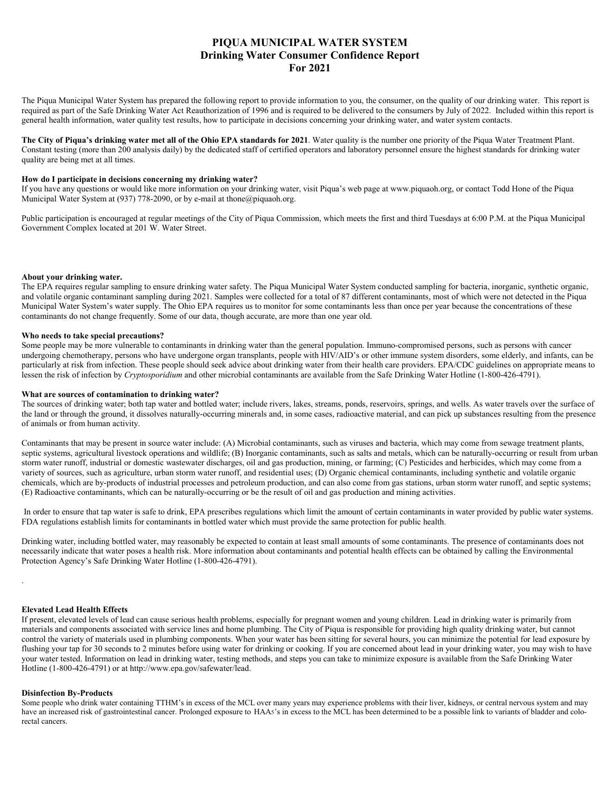# **PIQUA MUNICIPAL WATER SYSTEM Drinking Water Consumer Confidence Report For 2021**

The Piqua Municipal Water System has prepared the following report to provide information to you, the consumer, on the quality of our drinking water. This report is required as part of the Safe Drinking Water Act Reauthorization of 1996 and is required to be delivered to the consumers by July of 2022. Included within this report is general health information, water quality test results, how to participate in decisions concerning your drinking water, and water system contacts.

**The City of Piqua's drinking water met all of the Ohio EPA standards for 2021**. Water quality is the number one priority of the Piqua Water Treatment Plant. Constant testing (more than 200 analysis daily) by the dedicated staff of certified operators and laboratory personnel ensure the highest standards for drinking water quality are being met at all times.

### How do I participate in decisions concerning my drinking water?

If you have any questions or would like more information on your drinking water, visit Piqua's web page at www.piquaoh.org, or contact Todd Hone of the Piqua Municipal Water System at (937) 778-2090, or by e-mail at thone@piquaoh.org.

Public participation is encouraged at regular meetings of the City of Piqua Commission, which meets the first and third Tuesdays at 6:00 P.M. at the Piqua Municipal Government Complex located at 201 W. Water Street.

### About your drinking water.

The EPA requires regular sampling to ensure drinking water safety. The Piqua Municipal Water System conducted sampling for bacteria, inorganic, synthetic organic, and volatile organic contaminant sampling during 2021. Samples were collected for a total of 87 different contaminants, most of which were not detected in the Piqua Municipal Water System's water supply. The Ohio EPA requires us to monitor for some contaminants less than once per year because the concentrations of these contaminants do not change frequently. Some of our data, though accurate, are more than one year old.

### **Who needs to take special precautions?**

Some people may be more vulnerable to contaminants in drinking water than the general population. Immuno-compromised persons, such as persons with cancer undergoing chemotherapy, persons who have undergone organ transplants, people with HIV/AID's or other immune system disorders, some elderly, and infants, can be particularly at risk from infection. These people should seek advice about drinking water from their health care providers. EPA/CDC guidelines on appropriate means to lessen the risk of infection by *Cryptosporidium* and other microbial contaminants are available from the Safe Drinking Water Hotline (1-800-426-4791).

### What are sources of contamination to drinking water?

The sources of drinking water; both tap water and bottled water; include rivers, lakes, streams, ponds, reservoirs, springs, and wells. As water travels over the surface of the land or through the ground, it dissolves naturally-occurring minerals and, in some cases, radioactive material, and can pick up substances resulting from the presence of animals or from human activity.

Contaminants that may be present in source water include: (A) Microbial contaminants, such as viruses and bacteria, which may come from sewage treatment plants, septic systems, agricultural livestock operations and wildlife; (B) Inorganic contaminants, such as salts and metals, which can be naturally-occurring or result from urban storm water runoff, industrial or domestic wastewater discharges, oil and gas production, mining, or farming; (C) Pesticides and herbicides, which may come from a variety of sources, such as agriculture, urban storm water runoff, and residential uses; (D) Organic chemical contaminants, including synthetic and volatile organic chemicals, which are by-products of industrial processes and petroleum production, and can also come from gas stations, urban storm water runoff, and septic systems; (E) Radioactive contaminants, which can be naturally-occurring or be the result of oil and gas production and mining activities.

In order to ensure that tap water is safe to drink, EPA prescribes regulations which limit the amount of certain contaminants in water provided by public water systems. FDA regulations establish limits for contaminants in bottled water which must provide the same protection for public health.

Drinking water, including bottled water, may reasonably be expected to contain at least small amounts of some contaminants. The presence of contaminants does not necessarily indicate that water poses a health risk. More information about contaminants and potential health effects can be obtained by calling the Environmental Protection Agency's Safe Drinking Water Hotline (1-800-426-4791).

# .

### **Elevated Lead Health Effects**

If present, elevated levels of lead can cause serious health problems, especially for pregnant women and young children. Lead in drinking water is primarily from materials and components associated with service lines and home plumbing. The City of Piqua is responsible for providing high quality drinking water, but cannot control the variety of materials used in plumbing components. When your water has been sitting for several hours, you can minimize the potential for lead exposure by flushing your tap for 30 seconds to 2 minutes before using water for drinking or cooking. If you are concerned about lead in your drinking water, you may wish to have your water tested. Information on lead in drinking water, testing methods, and steps you can take to minimize exposure is available from the Safe Drinking Water Hotline (1-800-426-4791) or at http://www.epa.gov/safewater/lead.

### **Disinfection By-Products**

Some people who drink water containing TTHM's in excess of the MCL over many years may experience problems with their liver, kidneys, or central nervous system and may have an increased risk of gastrointestinal cancer. Prolonged exposure to HAA5's in excess to the MCL has been determined to be a possible link to variants of bladder and colorectal cancers.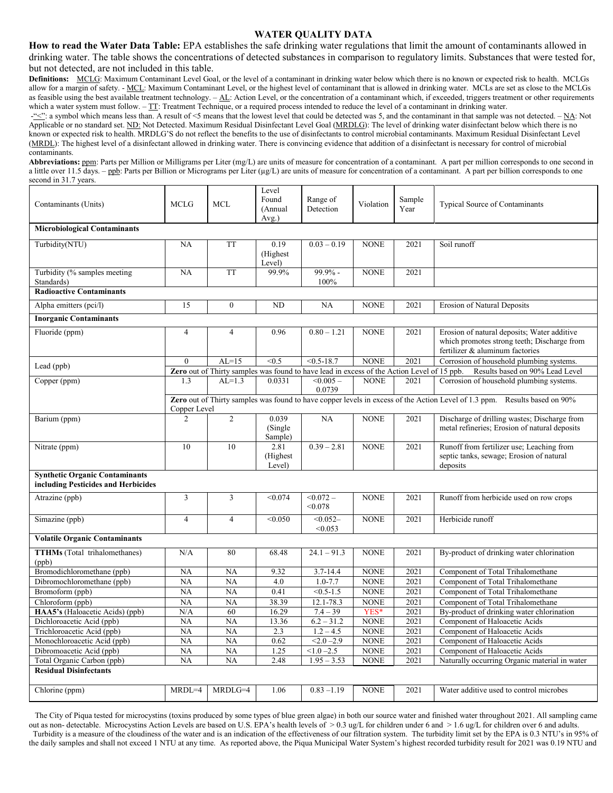# **WATER QUALITY DATA**

**How to read the Water Data Table:** EPA establishes the safe drinking water regulations that limit the amount of contaminants allowed in drinking water. The table shows the concentrations of detected substances in comparison to regulatory limits. Substances that were tested for, but not detected, are not included in this table.

**Definitions:** MCLG: Maximum Contaminant Level Goal, or the level of a contaminant in drinking water below which there is no known or expected risk to health. MCLGs allow for a margin of safety. - MCL: Maximum Contaminant Level, or the highest level of contaminant that is allowed in drinking water. MCLs are set as close to the MCLGs as feasible using the best available treatment technology.  $-\underline{AL}$ : Action Level, or the concentration of a contaminant which, if exceeded, triggers treatment or other requirements which a water system must follow. – TT: Treatment Technique, or a required process intended to reduce the level of a contaminant in drinking water.

 $-\frac{1}{2}$  a symbol which means less than. A result of <5 means that the lowest level that could be detected was 5, and the contaminant in that sample was not detected.  $-\underline{NA}$ . Not Applicable or no standard set. ND: Not Detected. Maximum Residual Disinfectant Level Goal (MRDLG): The level of drinking water disinfectant below which there is no known or expected risk to health. MRDLG'S do not reflect the benefits to the use of disinfectants to control microbial contaminants. Maximum Residual Disinfectant Level (MRDL): The highest level of a disinfectant allowed in drinking water. There is convincing evidence that addition of a disinfectant is necessary for control of microbial contaminants.

**Abbreviations:** ppm: Parts per Million or Milligrams per Liter (mg/L) are units of measure for concentration of a contaminant. A part per million corresponds to one second in a little over 11.5 days. – ppb: Parts per Billion or Micrograms per Liter ( $\mu g/L$ ) are units of measure for concentration of a contaminant. A part per billion corresponds to one second in 31.7 years.

| Contaminants (Units)                                                         | <b>MCLG</b>                                                                                                                               | <b>MCL</b>       | Level<br>Found<br>(Annual<br>Avg.) | Range of<br>Detection  | Violation   | Sample<br>Year | <b>Typical Source of Contaminants</b>                                                                                         |  |
|------------------------------------------------------------------------------|-------------------------------------------------------------------------------------------------------------------------------------------|------------------|------------------------------------|------------------------|-------------|----------------|-------------------------------------------------------------------------------------------------------------------------------|--|
| <b>Microbiological Contaminants</b>                                          |                                                                                                                                           |                  |                                    |                        |             |                |                                                                                                                               |  |
| Turbidity(NTU)                                                               | NA                                                                                                                                        | <b>TT</b>        | 0.19<br>(Highest<br>Level)         | $0.03 - 0.19$          | <b>NONE</b> | 2021           | Soil runoff                                                                                                                   |  |
| Turbidity (% samples meeting<br>Standards)                                   | NA                                                                                                                                        | <b>TT</b>        | 99.9%                              | 99.9% -<br>100%        | <b>NONE</b> | 2021           |                                                                                                                               |  |
| <b>Radioactive Contaminants</b>                                              |                                                                                                                                           |                  |                                    |                        |             |                |                                                                                                                               |  |
| Alpha emitters (pci/l)                                                       | 15                                                                                                                                        | $\boldsymbol{0}$ | ND                                 | NA                     | <b>NONE</b> | 2021           | Erosion of Natural Deposits                                                                                                   |  |
| <b>Inorganic Contaminants</b>                                                |                                                                                                                                           |                  |                                    |                        |             |                |                                                                                                                               |  |
| Fluoride (ppm)                                                               | $\overline{4}$                                                                                                                            | $\overline{4}$   | 0.96                               | $0.80 - 1.21$          | <b>NONE</b> | 2021           | Erosion of natural deposits; Water additive<br>which promotes strong teeth; Discharge from<br>fertilizer & aluminum factories |  |
| Lead (ppb)                                                                   | $\theta$                                                                                                                                  | $AL=15$          | < 0.5                              | $< 0.5 - 18.7$         | <b>NONE</b> | 2021           | Corrosion of household plumbing systems.                                                                                      |  |
|                                                                              | Zero out of Thirty samples was found to have lead in excess of the Action Level of 15 ppb.<br>Results based on 90% Lead Level             |                  |                                    |                        |             |                |                                                                                                                               |  |
| Copper (ppm)                                                                 | 1.3                                                                                                                                       | $AL=1.3$         | 0.0331                             | $< 0.005 -$<br>0.0739  | <b>NONE</b> | 2021           | Corrosion of household plumbing systems.                                                                                      |  |
|                                                                              | Zero out of Thirty samples was found to have copper levels in excess of the Action Level of 1.3 ppm. Results based on 90%<br>Copper Level |                  |                                    |                        |             |                |                                                                                                                               |  |
| Barium (ppm)                                                                 | $\overline{2}$                                                                                                                            | $\overline{2}$   | 0.039<br>(Single)<br>Sample)       | NA                     | <b>NONE</b> | 2021           | Discharge of drilling wastes; Discharge from<br>metal refineries; Erosion of natural deposits                                 |  |
| Nitrate (ppm)                                                                | 10                                                                                                                                        | 10               | 2.81<br>(Highest)<br>Level)        | $0.39 - 2.81$          | <b>NONE</b> | 2021           | Runoff from fertilizer use; Leaching from<br>septic tanks, sewage; Erosion of natural<br>deposits                             |  |
| <b>Synthetic Organic Contaminants</b><br>including Pesticides and Herbicides |                                                                                                                                           |                  |                                    |                        |             |                |                                                                                                                               |  |
| Atrazine (ppb)                                                               | 3                                                                                                                                         | 3                | < 0.074                            | $< 0.072 -$<br>< 0.078 | <b>NONE</b> | 2021           | Runoff from herbicide used on row crops                                                                                       |  |
| Simazine (ppb)                                                               | $\overline{4}$                                                                                                                            | $\overline{4}$   | < 0.050                            | $< 0.052 -$<br>< 0.053 | <b>NONE</b> | 2021           | Herbicide runoff                                                                                                              |  |
| <b>Volatile Organic Contaminants</b>                                         |                                                                                                                                           |                  |                                    |                        |             |                |                                                                                                                               |  |
| <b>TTHMs</b> (Total trihalomethanes)<br>(ppb)                                | N/A                                                                                                                                       | 80               | 68.48                              | $24.1 - 91.3$          | <b>NONE</b> | 2021           | By-product of drinking water chlorination                                                                                     |  |
| Bromodichloromethane (ppb)                                                   | <b>NA</b>                                                                                                                                 | <b>NA</b>        | 9.32                               | 3.7-14.4               | <b>NONE</b> | 2021           | Component of Total Trihalomethane                                                                                             |  |
| Dibromochloromethane (ppb)                                                   | <b>NA</b>                                                                                                                                 | <b>NA</b>        | 4.0                                | $1.0 - 7.7$            | <b>NONE</b> | 2021           | Component of Total Trihalomethane                                                                                             |  |
| Bromoform (ppb)                                                              | NA                                                                                                                                        | N <sub>A</sub>   | 0.41                               | $< 0.5 - 1.5$          | <b>NONE</b> | 2021           | Component of Total Trihalomethane                                                                                             |  |
| Chloroform (ppb)                                                             | NA                                                                                                                                        | <b>NA</b>        | 38.39                              | 12.1-78.3              | <b>NONE</b> | 2021           | Component of Total Trihalomethane                                                                                             |  |
| HAA5's (Haloacetic Acids) (ppb)                                              | N/A                                                                                                                                       | 60               | 16.29                              | $7.4 - 39$             | YES*        | 2021           | By-product of drinking water chlorination                                                                                     |  |
| Dichloroacetic Acid (ppb)                                                    | NA                                                                                                                                        | <b>NA</b>        | 13.36                              | $6.2 - 31.2$           | <b>NONE</b> | 2021           | Component of Haloacetic Acids                                                                                                 |  |
| Trichloroacetic Acid (ppb)                                                   | <b>NA</b>                                                                                                                                 | <b>NA</b>        | 2.3                                | $1.2 - 4.5$            | <b>NONE</b> | 2021           | Component of Haloacetic Acids                                                                                                 |  |
| Monochloroacetic Acid (ppb)                                                  | <b>NA</b>                                                                                                                                 | <b>NA</b>        | 0.62                               | $<2.0 - 2.9$           | <b>NONE</b> | 2021           | Component of Haloacetic Acids                                                                                                 |  |
| Dibromoacetic Acid (ppb)                                                     | <b>NA</b>                                                                                                                                 | <b>NA</b>        | 1.25                               | $< 1.0 - 2.5$          | <b>NONE</b> | 2021           | Component of Haloacetic Acids                                                                                                 |  |
| Total Organic Carbon (ppb)<br><b>Residual Disinfectants</b>                  | <b>NA</b>                                                                                                                                 | NA               | 2.48                               | $1.95 - 3.53$          | <b>NONE</b> | 2021           | Naturally occurring Organic material in water                                                                                 |  |
| Chlorine (ppm)                                                               | $MRDL=4$                                                                                                                                  | MRDLG=4          | 1.06                               | $0.83 - 1.19$          | <b>NONE</b> | 2021           | Water additive used to control microbes                                                                                       |  |

 The City of Piqua tested for microcystins (toxins produced by some types of blue green algae) in both our source water and finished water throughout 2021. All sampling came out as non-detectable. Microcystins Action Levels are based on U.S. EPA's health levels of  $> 0.3$  ug/L for children under 6 and  $> 1.6$  ug/L for children over 6 and adults. Turbidity is a measure of the cloudiness of the water and is an indication of the effectiveness of our filtration system. The turbidity limit set by the EPA is 0.3 NTU's in 95% of the daily samples and shall not exceed 1 NTU at any time. As reported above, the Piqua Municipal Water System's highest recorded turbidity result for 2021 was 0.19 NTU and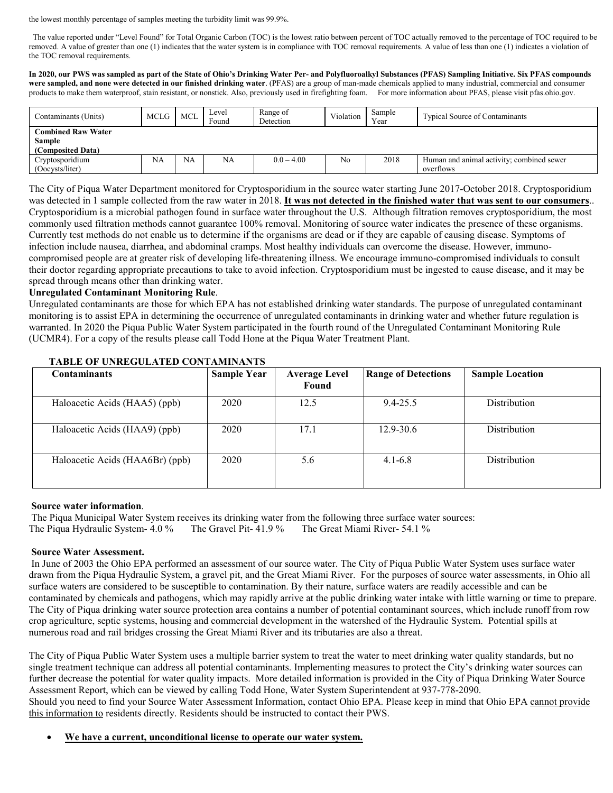the lowest monthly percentage of samples meeting the turbidity limit was 99.9%.

The value reported under "Level Found" for Total Organic Carbon (TOC) is the lowest ratio between percent of TOC actually removed to the percentage of TOC required to be removed. A value of greater than one (1) indicates that the water system is in compliance with TOC removal requirements. A value of less than one (1) indicates a violation of the TOC removal requirements.

**In 2020, our PWS was sampled as part of the State of Ohio's Drinking Water Per- and Polyfluoroalkyl Substances (PFAS) Sampling Initiative. Six PFAS compounds were sampled, and none were detected in our finished drinking water**. (PFAS) are a group of man-made chemicals applied to many industrial, commercial and consumer products to make them waterproof, stain resistant, or nonstick. Also, previously used in firefighting foam. For more information about PFAS, please visit pfas.ohio.gov.

| Contaminants (Units)      | MCLG | MCL       | Level<br>Found | Range of<br>Detection | Violation | Sample<br>Year | <b>Typical Source of Contaminants</b>     |
|---------------------------|------|-----------|----------------|-----------------------|-----------|----------------|-------------------------------------------|
| <b>Combined Raw Water</b> |      |           |                |                       |           |                |                                           |
| <b>Sample</b>             |      |           |                |                       |           |                |                                           |
| (Composited Data)         |      |           |                |                       |           |                |                                           |
| Cryptosporidium           | NA   | <b>NA</b> | <b>NA</b>      | $0.0 - 4.00$          | No        | 2018           | Human and animal activity; combined sewer |
| (Oocysts/liter)           |      |           |                |                       |           |                | overflows                                 |

The City of Piqua Water Department monitored for Cryptosporidium in the source water starting June 2017-October 2018. Cryptosporidium was detected in 1 sample collected from the raw water in 2018. **It was not detected in the finished water that was sent to our consumers**.. Cryptosporidium is a microbial pathogen found in surface water throughout the U.S. Although filtration removes cryptosporidium, the most commonly used filtration methods cannot guarantee 100% removal. Monitoring of source water indicates the presence of these organisms. Currently test methods do not enable us to determine if the organisms are dead or if they are capable of causing disease. Symptoms of infection include nausea, diarrhea, and abdominal cramps. Most healthy individuals can overcome the disease. However, immunocompromised people are at greater risk of developing life-threatening illness. We encourage immuno-compromised individuals to consult their doctor regarding appropriate precautions to take to avoid infection. Cryptosporidium must be ingested to cause disease, and it may be spread through means other than drinking water.

# **Unregulated Contaminant Monitoring Rule**.

Unregulated contaminants are those for which EPA has not established drinking water standards. The purpose of unregulated contaminant monitoring is to assist EPA in determining the occurrence of unregulated contaminants in drinking water and whether future regulation is warranted. In 2020 the Piqua Public Water System participated in the fourth round of the Unregulated Contaminant Monitoring Rule (UCMR4). For a copy of the results please call Todd Hone at the Piqua Water Treatment Plant.

| <b>Contaminants</b>             | <b>Sample Year</b> | <b>Average Level</b><br>Found | <b>Range of Detections</b> | <b>Sample Location</b> |
|---------------------------------|--------------------|-------------------------------|----------------------------|------------------------|
| Haloacetic Acids (HAA5) (ppb)   | 2020               | 12.5                          | $9.4 - 25.5$               | <b>Distribution</b>    |
| Haloacetic Acids (HAA9) (ppb)   | 2020               | 17.1                          | $12.9 - 30.6$              | <b>Distribution</b>    |
| Haloacetic Acids (HAA6Br) (ppb) | 2020               | 5.6                           | $4.1 - 6.8$                | Distribution           |

# **TABLE OF UNREGULATED CONTAMINANTS**

# **Source water information**.

The Piqua Municipal Water System receives its drinking water from the following three surface water sources: The Piqua Hydraulic System- 4.0 % The Gravel Pit- 41.9 % The Great Miami River- 54.1 %

# **Source Water Assessment.**

In June of 2003 the Ohio EPA performed an assessment of our source water. The City of Piqua Public Water System uses surface water drawn from the Piqua Hydraulic System, a gravel pit, and the Great Miami River. For the purposes of source water assessments, in Ohio all surface waters are considered to be susceptible to contamination. By their nature, surface waters are readily accessible and can be contaminated by chemicals and pathogens, which may rapidly arrive at the public drinking water intake with little warning or time to prepare. The City of Piqua drinking water source protection area contains a number of potential contaminant sources, which include runoff from row crop agriculture, septic systems, housing and commercial development in the watershed of the Hydraulic System. Potential spills at numerous road and rail bridges crossing the Great Miami River and its tributaries are also a threat.

The City of Piqua Public Water System uses a multiple barrier system to treat the water to meet drinking water quality standards, but no single treatment technique can address all potential contaminants. Implementing measures to protect the City's drinking water sources can further decrease the potential for water quality impacts. More detailed information is provided in the City of Piqua Drinking Water Source Assessment Report, which can be viewed by calling Todd Hone, Water System Superintendent at 937-778-2090.

Should you need to find your Source Water Assessment Information, contact Ohio EPA. Please keep in mind that Ohio EPA cannot provide this information to residents directly. Residents should be instructed to contact their PWS.

# • **We have a current, unconditional license to operate our water system.**